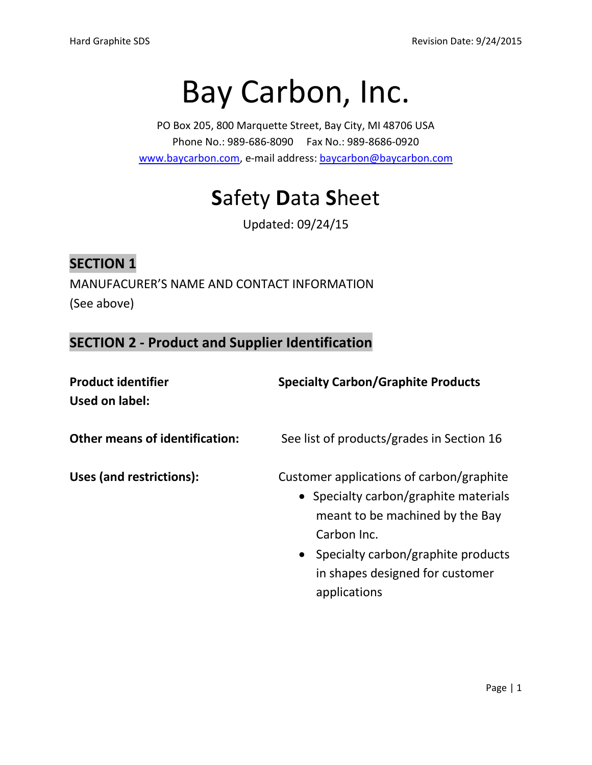# Bay Carbon, Inc.

PO Box 205, 800 Marquette Street, Bay City, MI 48706 USA Phone No.: 989-686-8090 Fax No.: 989-8686-0920 [www.baycarbon.com,](http://www.baycarbon.com/) e-mail address[: baycarbon@baycarbon.com](mailto:baycarbon@baycarbon.com)

## **S**afety **D**ata **S**heet

Updated: 09/24/15

## **SECTION 1**

MANUFACURER'S NAME AND CONTACT INFORMATION (See above)

**SECTION 2 - Product and Supplier Identification**

| <b>Product identifier</b><br>Used on label: | <b>Specialty Carbon/Graphite Products</b>                                                                                                                                                                                      |
|---------------------------------------------|--------------------------------------------------------------------------------------------------------------------------------------------------------------------------------------------------------------------------------|
| <b>Other means of identification:</b>       | See list of products/grades in Section 16                                                                                                                                                                                      |
| Uses (and restrictions):                    | Customer applications of carbon/graphite<br>• Specialty carbon/graphite materials<br>meant to be machined by the Bay<br>Carbon Inc.<br>• Specialty carbon/graphite products<br>in shapes designed for customer<br>applications |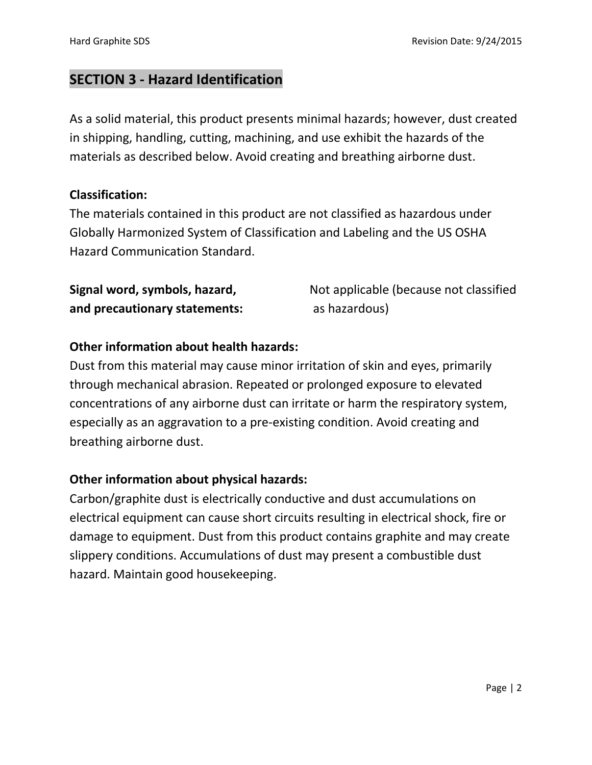## **SECTION 3 - Hazard Identification**

As a solid material, this product presents minimal hazards; however, dust created in shipping, handling, cutting, machining, and use exhibit the hazards of the materials as described below. Avoid creating and breathing airborne dust.

#### **Classification:**

The materials contained in this product are not classified as hazardous under Globally Harmonized System of Classification and Labeling and the US OSHA Hazard Communication Standard.

| Signal word, symbols, hazard, | Not applicable (because not classified |
|-------------------------------|----------------------------------------|
| and precautionary statements: | as hazardous)                          |

#### **Other information about health hazards:**

Dust from this material may cause minor irritation of skin and eyes, primarily through mechanical abrasion. Repeated or prolonged exposure to elevated concentrations of any airborne dust can irritate or harm the respiratory system, especially as an aggravation to a pre-existing condition. Avoid creating and breathing airborne dust.

#### **Other information about physical hazards:**

Carbon/graphite dust is electrically conductive and dust accumulations on electrical equipment can cause short circuits resulting in electrical shock, fire or damage to equipment. Dust from this product contains graphite and may create slippery conditions. Accumulations of dust may present a combustible dust hazard. Maintain good housekeeping.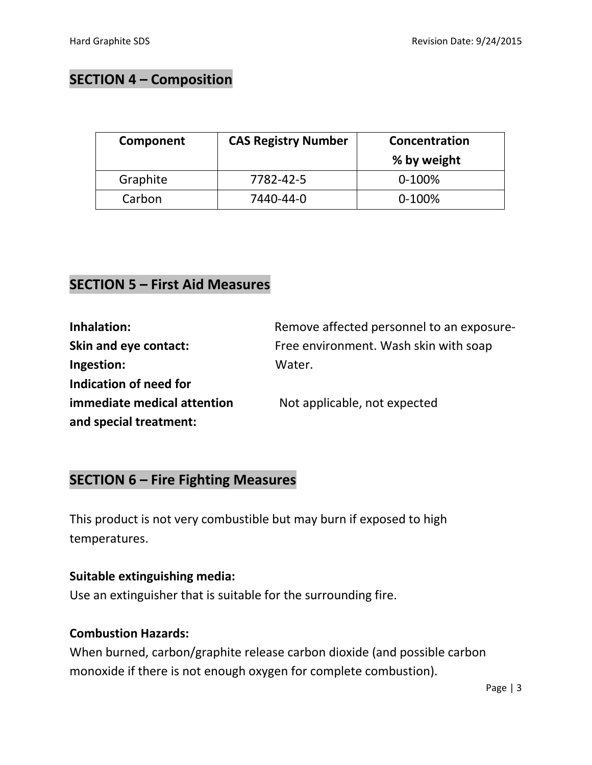## **SECTION 4 – Composition**

| Component | <b>CAS Registry Number</b> | Concentration<br>% by weight |
|-----------|----------------------------|------------------------------|
| Graphite  | 7782-42-5                  | $0-100%$                     |
| Carbon    | 7440-44-0                  | $0-100%$                     |

## **SECTION 5 – First Aid Measures**

| Inhalation:                 | Remove affected personnel to an exposure- |
|-----------------------------|-------------------------------------------|
| Skin and eye contact:       | Free environment. Wash skin with soap     |
| Ingestion:                  | Water.                                    |
| Indication of need for      |                                           |
| immediate medical attention | Not applicable, not expected              |
| and special treatment:      |                                           |

## **SECTION 6 – Fire Fighting Measures**

This product is not very combustible but may burn if exposed to high temperatures.

#### **Suitable extinguishing media:**

Use an extinguisher that is suitable for the surrounding fire.

#### **Combustion Hazards:**

When burned, carbon/graphite release carbon dioxide (and possible carbon monoxide if there is not enough oxygen for complete combustion).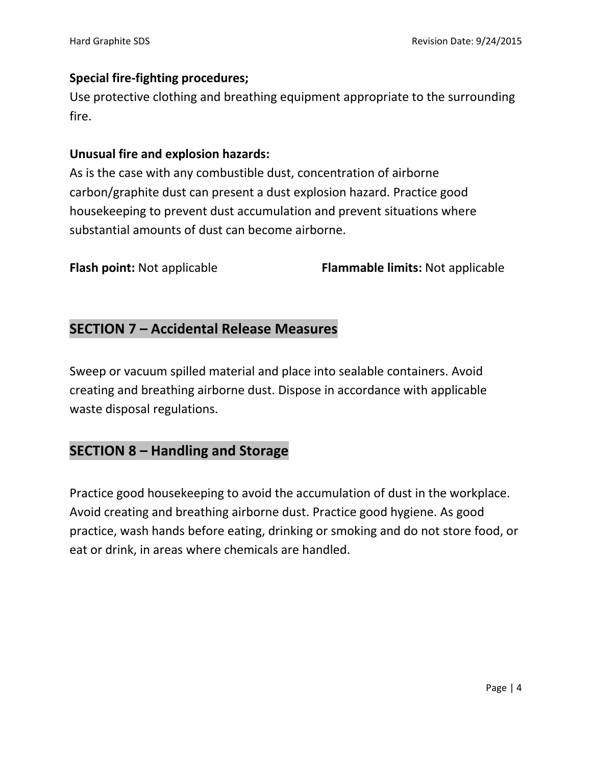#### **Special fire-fighting procedures;**

Use protective clothing and breathing equipment appropriate to the surrounding fire.

#### **Unusual fire and explosion hazards:**

As is the case with any combustible dust, concentration of airborne carbon/graphite dust can present a dust explosion hazard. Practice good housekeeping to prevent dust accumulation and prevent situations where substantial amounts of dust can become airborne.

**Flash point:** Not applicable **Flammable limits:** Not applicable

## **SECTION 7 – Accidental Release Measures**

Sweep or vacuum spilled material and place into sealable containers. Avoid creating and breathing airborne dust. Dispose in accordance with applicable waste disposal regulations.

## **SECTION 8 – Handling and Storage**

Practice good housekeeping to avoid the accumulation of dust in the workplace. Avoid creating and breathing airborne dust. Practice good hygiene. As good practice, wash hands before eating, drinking or smoking and do not store food, or eat or drink, in areas where chemicals are handled.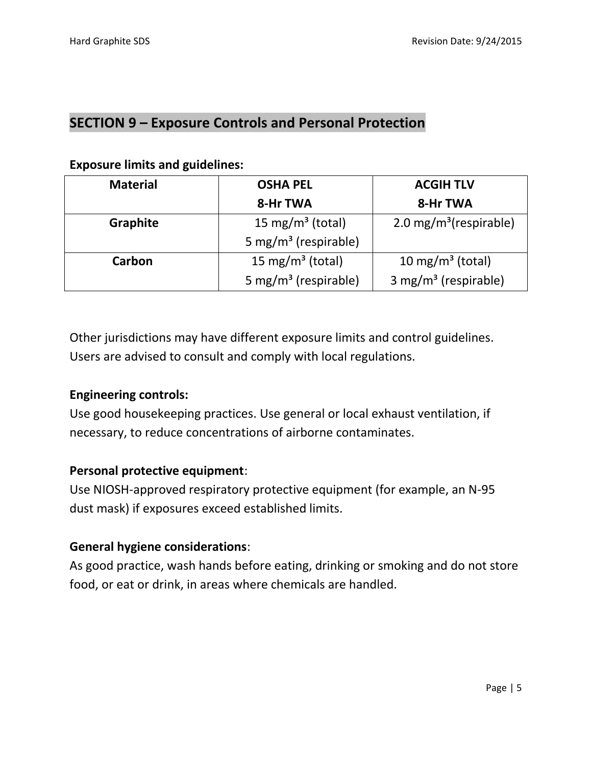## **SECTION 9 – Exposure Controls and Personal Protection**

#### **Exposure limits and guidelines:**

| <b>Material</b> | <b>OSHA PEL</b>                                                      | <b>ACGIH TLV</b>                 |
|-----------------|----------------------------------------------------------------------|----------------------------------|
|                 | 8-Hr TWA                                                             | 8-Hr TWA                         |
| <b>Graphite</b> | 15 mg/m <sup>3</sup> (total)<br>$2.0 \,\mathrm{mg/m^3}$ (respirable) |                                  |
|                 | 5 mg/m <sup>3</sup> (respirable)                                     |                                  |
| Carbon          | 15 mg/m <sup>3</sup> (total)                                         | 10 mg/m <sup>3</sup> (total)     |
|                 | 5 mg/m <sup>3</sup> (respirable)                                     | 3 mg/m <sup>3</sup> (respirable) |

Other jurisdictions may have different exposure limits and control guidelines. Users are advised to consult and comply with local regulations.

#### **Engineering controls:**

Use good housekeeping practices. Use general or local exhaust ventilation, if necessary, to reduce concentrations of airborne contaminates.

#### **Personal protective equipment**:

Use NIOSH-approved respiratory protective equipment (for example, an N-95 dust mask) if exposures exceed established limits.

#### **General hygiene considerations**:

As good practice, wash hands before eating, drinking or smoking and do not store food, or eat or drink, in areas where chemicals are handled.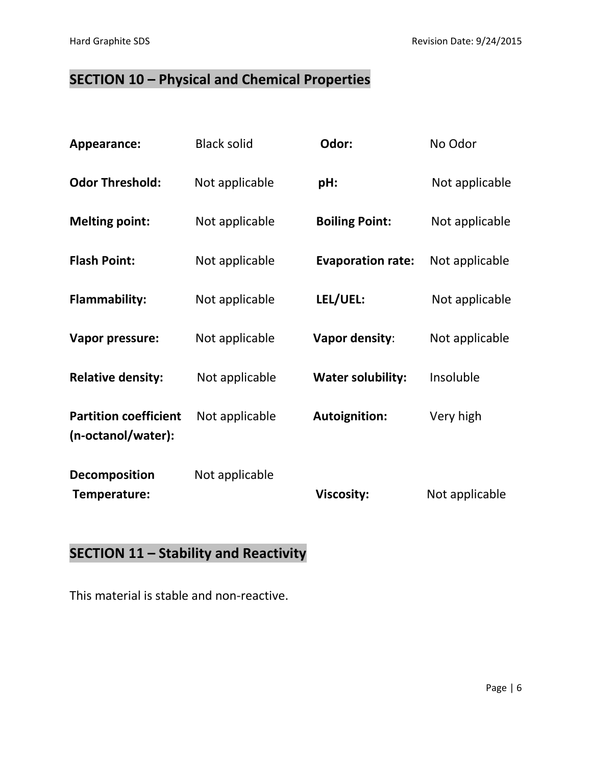## **SECTION 10 – Physical and Chemical Properties**

| Appearance:                                        | <b>Black solid</b> | Odor:                    | No Odor        |
|----------------------------------------------------|--------------------|--------------------------|----------------|
| <b>Odor Threshold:</b>                             | Not applicable     | pH:                      | Not applicable |
| <b>Melting point:</b>                              | Not applicable     | <b>Boiling Point:</b>    | Not applicable |
| <b>Flash Point:</b>                                | Not applicable     | <b>Evaporation rate:</b> | Not applicable |
| <b>Flammability:</b>                               | Not applicable     | LEL/UEL:                 | Not applicable |
| Vapor pressure:                                    | Not applicable     | <b>Vapor density:</b>    | Not applicable |
| <b>Relative density:</b>                           | Not applicable     | <b>Water solubility:</b> | Insoluble      |
| <b>Partition coefficient</b><br>(n-octanol/water): | Not applicable     | <b>Autoignition:</b>     | Very high      |
| <b>Decomposition</b><br>Temperature:               | Not applicable     | <b>Viscosity:</b>        | Not applicable |

## **SECTION 11 – Stability and Reactivity**

This material is stable and non-reactive.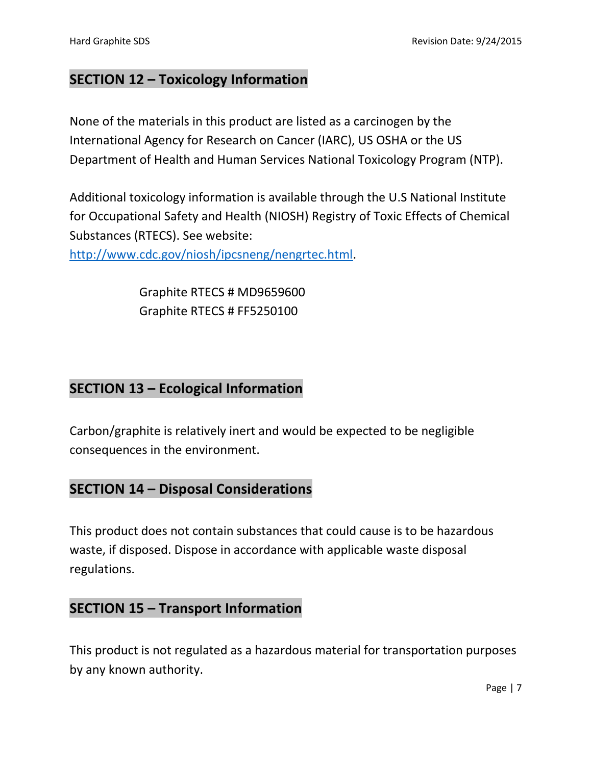## **SECTION 12 – Toxicology Information**

None of the materials in this product are listed as a carcinogen by the International Agency for Research on Cancer (IARC), US OSHA or the US Department of Health and Human Services National Toxicology Program (NTP).

Additional toxicology information is available through the U.S National Institute for Occupational Safety and Health (NIOSH) Registry of Toxic Effects of Chemical Substances (RTECS). See website:

[http://www.cdc.gov/niosh/ipcsneng/nengrtec.html.](http://www.cdc.gov/niosh/ipcsneng/nengrtec.html)

Graphite RTECS # MD9659600 Graphite RTECS # FF5250100

### **SECTION 13 – Ecological Information**

Carbon/graphite is relatively inert and would be expected to be negligible consequences in the environment.

### **SECTION 14 – Disposal Considerations**

This product does not contain substances that could cause is to be hazardous waste, if disposed. Dispose in accordance with applicable waste disposal regulations.

## **SECTION 15 – Transport Information**

This product is not regulated as a hazardous material for transportation purposes by any known authority.